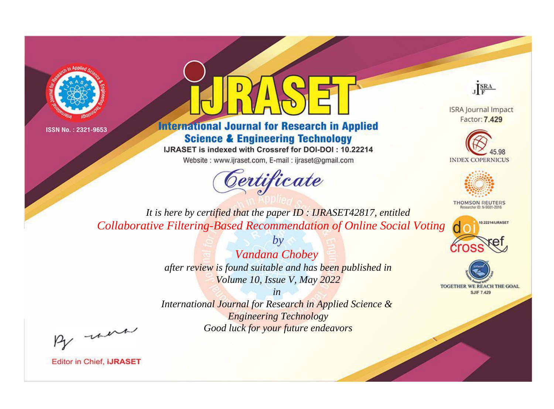



**International Journal for Research in Applied Science & Engineering Technology** 

IJRASET is indexed with Crossref for DOI-DOI: 10.22214

Website: www.ijraset.com, E-mail: ijraset@gmail.com



JERA

**ISRA Journal Impact** Factor: 7.429





**THOMSON REUTERS** 



TOGETHER WE REACH THE GOAL **SJIF 7.429** 

*It is here by certified that the paper ID : IJRASET42817, entitled Collaborative Filtering-Based Recommendation of Online Social Voting*

> *Vandana Chobey after review is found suitable and has been published in Volume 10, Issue V, May 2022*

*by*

*in* 

*International Journal for Research in Applied Science & Engineering Technology Good luck for your future endeavors*

By morn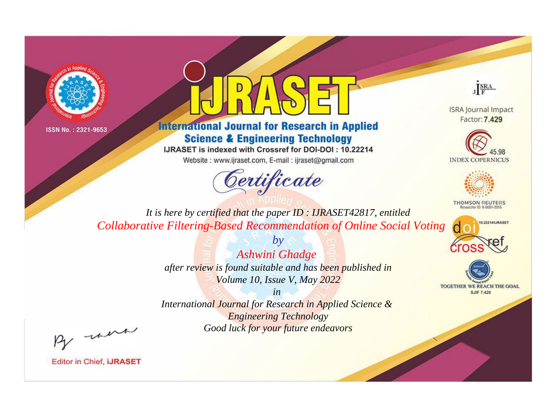



**International Journal for Research in Applied Science & Engineering Technology** 

IJRASET is indexed with Crossref for DOI-DOI: 10.22214

Website: www.ijraset.com, E-mail: ijraset@gmail.com



JERA

**ISRA Journal Impact** Factor: 7.429





**THOMSON REUTERS** 



TOGETHER WE REACH THE GOAL **SJIF 7.429** 

*It is here by certified that the paper ID : IJRASET42817, entitled Collaborative Filtering-Based Recommendation of Online Social Voting*

> *Ashwini Ghadge after review is found suitable and has been published in Volume 10, Issue V, May 2022*

*by*

*in* 

*International Journal for Research in Applied Science & Engineering Technology Good luck for your future endeavors*

By morn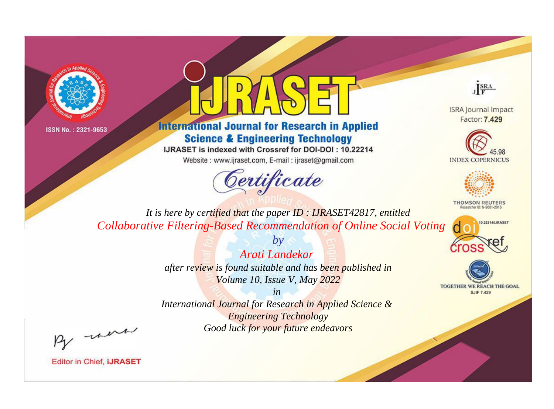



## **International Journal for Research in Applied Science & Engineering Technology**

IJRASET is indexed with Crossref for DOI-DOI: 10.22214

Website: www.ijraset.com, E-mail: ijraset@gmail.com



JERA

**ISRA Journal Impact** Factor: 7.429





**THOMSON REUTERS** 



TOGETHER WE REACH THE GOAL **SJIF 7.429** 

*It is here by certified that the paper ID : IJRASET42817, entitled Collaborative Filtering-Based Recommendation of Online Social Voting*

> *by Arati Landekar after review is found suitable and has been published in Volume 10, Issue V, May 2022*

> > *in*

*International Journal for Research in Applied Science & Engineering Technology Good luck for your future endeavors*

By morn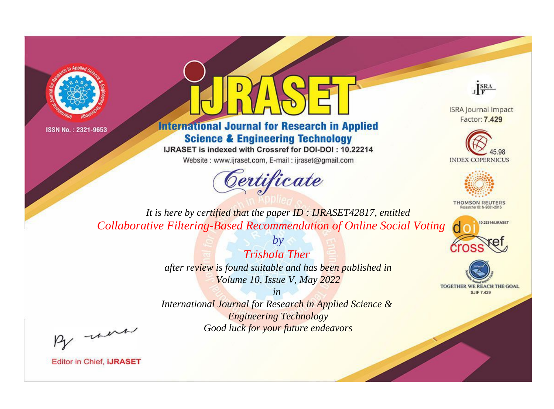



## **International Journal for Research in Applied Science & Engineering Technology**

IJRASET is indexed with Crossref for DOI-DOI: 10.22214

Website: www.ijraset.com, E-mail: ijraset@gmail.com



JERA

**ISRA Journal Impact** Factor: 7.429





**THOMSON REUTERS** 



TOGETHER WE REACH THE GOAL **SJIF 7.429** 

*It is here by certified that the paper ID : IJRASET42817, entitled Collaborative Filtering-Based Recommendation of Online Social Voting*

> *Trishala Ther after review is found suitable and has been published in Volume 10, Issue V, May 2022*

*by*

*in* 

*International Journal for Research in Applied Science & Engineering Technology Good luck for your future endeavors*

By morn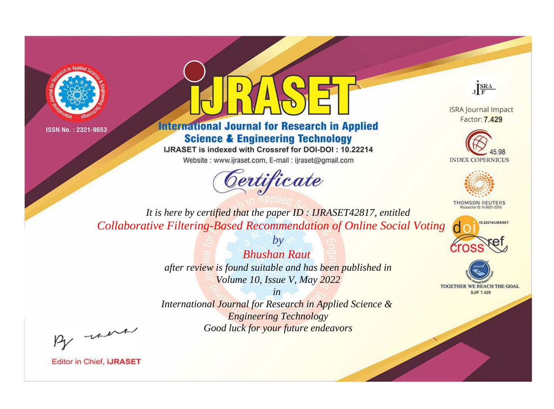



**International Journal for Research in Applied Science & Engineering Technology** 

IJRASET is indexed with Crossref for DOI-DOI: 10.22214

Website: www.ijraset.com, E-mail: ijraset@gmail.com



JERA

**ISRA Journal Impact** Factor: 7.429





**THOMSON REUTERS** 



TOGETHER WE REACH THE GOAL **SJIF 7.429** 

*It is here by certified that the paper ID : IJRASET42817, entitled Collaborative Filtering-Based Recommendation of Online Social Voting*

> *Bhushan Raut after review is found suitable and has been published in Volume 10, Issue V, May 2022*

*by*

*in* 

*International Journal for Research in Applied Science & Engineering Technology Good luck for your future endeavors*

By morn